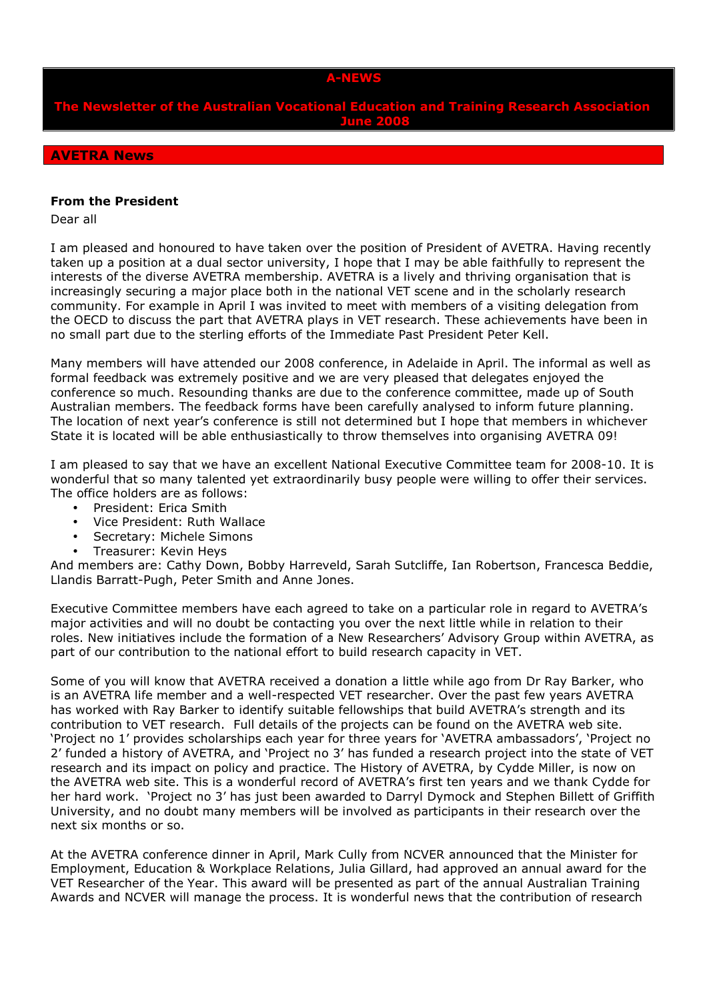#### A-NEWS

The Newsletter of the Australian Vocational Education and Training Research Association June 2008

# AVETRA News

#### From the President

Dear all

I am pleased and honoured to have taken over the position of President of AVETRA. Having recently taken up a position at a dual sector university, I hope that I may be able faithfully to represent the interests of the diverse AVETRA membership. AVETRA is a lively and thriving organisation that is increasingly securing a major place both in the national VET scene and in the scholarly research community. For example in April I was invited to meet with members of a visiting delegation from the OECD to discuss the part that AVETRA plays in VET research. These achievements have been in no small part due to the sterling efforts of the Immediate Past President Peter Kell.

Many members will have attended our 2008 conference, in Adelaide in April. The informal as well as formal feedback was extremely positive and we are very pleased that delegates enjoyed the conference so much. Resounding thanks are due to the conference committee, made up of South Australian members. The feedback forms have been carefully analysed to inform future planning. The location of next year's conference is still not determined but I hope that members in whichever State it is located will be able enthusiastically to throw themselves into organising AVETRA 09!

I am pleased to say that we have an excellent National Executive Committee team for 2008-10. It is wonderful that so many talented yet extraordinarily busy people were willing to offer their services. The office holders are as follows:

- President: Erica Smith
- Vice President: Ruth Wallace
- Secretary: Michele Simons
- Treasurer: Kevin Heys

And members are: Cathy Down, Bobby Harreveld, Sarah Sutcliffe, Ian Robertson, Francesca Beddie, Llandis Barratt-Pugh, Peter Smith and Anne Jones.

Executive Committee members have each agreed to take on a particular role in regard to AVETRA's major activities and will no doubt be contacting you over the next little while in relation to their roles. New initiatives include the formation of a New Researchers' Advisory Group within AVETRA, as part of our contribution to the national effort to build research capacity in VET.

Some of you will know that AVETRA received a donation a little while ago from Dr Ray Barker, who is an AVETRA life member and a well-respected VET researcher. Over the past few years AVETRA has worked with Ray Barker to identify suitable fellowships that build AVETRA's strength and its contribution to VET research. Full details of the projects can be found on the AVETRA web site. 'Project no 1' provides scholarships each year for three years for 'AVETRA ambassadors', 'Project no 2' funded a history of AVETRA, and 'Project no 3' has funded a research project into the state of VET research and its impact on policy and practice. The History of AVETRA, by Cydde Miller, is now on the AVETRA web site. This is a wonderful record of AVETRA's first ten years and we thank Cydde for her hard work. 'Project no 3' has just been awarded to Darryl Dymock and Stephen Billett of Griffith University, and no doubt many members will be involved as participants in their research over the next six months or so.

At the AVETRA conference dinner in April, Mark Cully from NCVER announced that the Minister for Employment, Education & Workplace Relations, Julia Gillard, had approved an annual award for the VET Researcher of the Year. This award will be presented as part of the annual Australian Training Awards and NCVER will manage the process. It is wonderful news that the contribution of research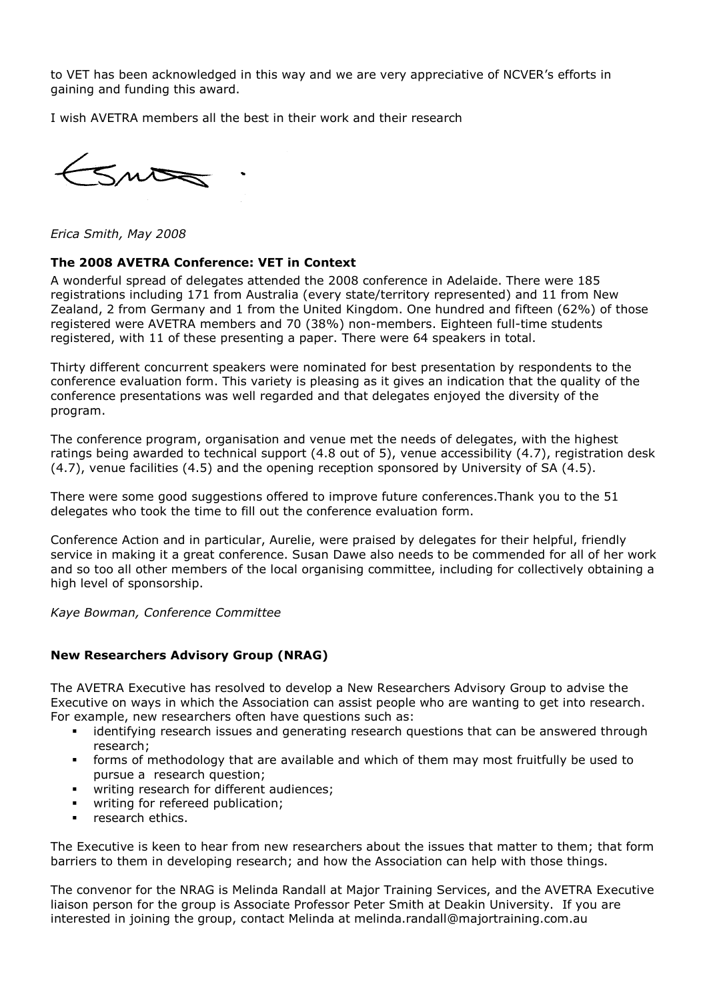to VET has been acknowledged in this way and we are very appreciative of NCVER's efforts in gaining and funding this award.

I wish AVETRA members all the best in their work and their research

 $5m$ 

Erica Smith, May 2008

## The 2008 AVETRA Conference: VET in Context

A wonderful spread of delegates attended the 2008 conference in Adelaide. There were 185 registrations including 171 from Australia (every state/territory represented) and 11 from New Zealand, 2 from Germany and 1 from the United Kingdom. One hundred and fifteen (62%) of those registered were AVETRA members and 70 (38%) non-members. Eighteen full-time students registered, with 11 of these presenting a paper. There were 64 speakers in total.

Thirty different concurrent speakers were nominated for best presentation by respondents to the conference evaluation form. This variety is pleasing as it gives an indication that the quality of the conference presentations was well regarded and that delegates enjoyed the diversity of the program.

The conference program, organisation and venue met the needs of delegates, with the highest ratings being awarded to technical support (4.8 out of 5), venue accessibility (4.7), registration desk (4.7), venue facilities (4.5) and the opening reception sponsored by University of SA (4.5).

There were some good suggestions offered to improve future conferences.Thank you to the 51 delegates who took the time to fill out the conference evaluation form.

Conference Action and in particular, Aurelie, were praised by delegates for their helpful, friendly service in making it a great conference. Susan Dawe also needs to be commended for all of her work and so too all other members of the local organising committee, including for collectively obtaining a high level of sponsorship.

Kaye Bowman, Conference Committee

## New Researchers Advisory Group (NRAG)

The AVETRA Executive has resolved to develop a New Researchers Advisory Group to advise the Executive on ways in which the Association can assist people who are wanting to get into research. For example, new researchers often have questions such as:

- identifying research issues and generating research questions that can be answered through research;
- forms of methodology that are available and which of them may most fruitfully be used to pursue a research question;
- **•** writing research for different audiences;
- writing for refereed publication;
- research ethics.

The Executive is keen to hear from new researchers about the issues that matter to them; that form barriers to them in developing research; and how the Association can help with those things.

The convenor for the NRAG is Melinda Randall at Major Training Services, and the AVETRA Executive liaison person for the group is Associate Professor Peter Smith at Deakin University. If you are interested in joining the group, contact Melinda at melinda.randall@majortraining.com.au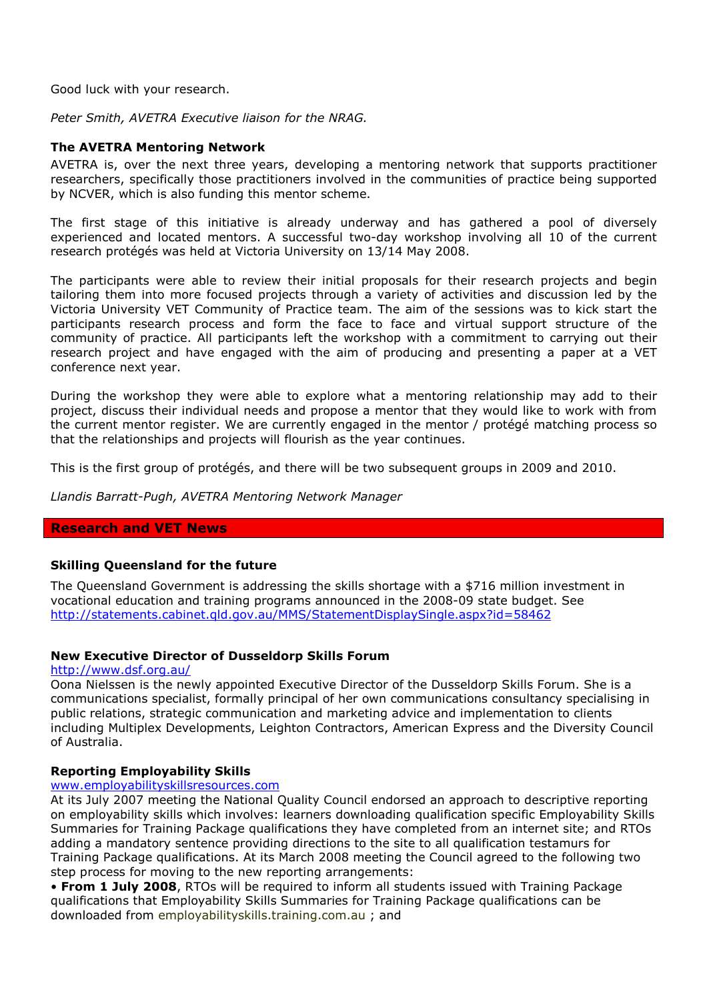Good luck with your research.

Peter Smith, AVETRA Executive liaison for the NRAG.

## The AVETRA Mentoring Network

AVETRA is, over the next three years, developing a mentoring network that supports practitioner researchers, specifically those practitioners involved in the communities of practice being supported by NCVER, which is also funding this mentor scheme.

The first stage of this initiative is already underway and has gathered a pool of diversely experienced and located mentors. A successful two-day workshop involving all 10 of the current research protégés was held at Victoria University on 13/14 May 2008.

The participants were able to review their initial proposals for their research projects and begin tailoring them into more focused projects through a variety of activities and discussion led by the Victoria University VET Community of Practice team. The aim of the sessions was to kick start the participants research process and form the face to face and virtual support structure of the community of practice. All participants left the workshop with a commitment to carrying out their research project and have engaged with the aim of producing and presenting a paper at a VET conference next year.

During the workshop they were able to explore what a mentoring relationship may add to their project, discuss their individual needs and propose a mentor that they would like to work with from the current mentor register. We are currently engaged in the mentor / protégé matching process so that the relationships and projects will flourish as the year continues.

This is the first group of protégés, and there will be two subsequent groups in 2009 and 2010.

Llandis Barratt-Pugh, AVETRA Mentoring Network Manager

## Research and VET News

## Skilling Queensland for the future

The Queensland Government is addressing the skills shortage with a \$716 million investment in vocational education and training programs announced in the 2008-09 state budget. See http://statements.cabinet.qld.gov.au/MMS/StatementDisplaySingle.aspx?id=58462

## New Executive Director of Dusseldorp Skills Forum

http://www.dsf.org.au/

Oona Nielssen is the newly appointed Executive Director of the Dusseldorp Skills Forum. She is a communications specialist, formally principal of her own communications consultancy specialising in public relations, strategic communication and marketing advice and implementation to clients including Multiplex Developments, Leighton Contractors, American Express and the Diversity Council of Australia.

## Reporting Employability Skills

www.employabilityskillsresources.com

At its July 2007 meeting the National Quality Council endorsed an approach to descriptive reporting on employability skills which involves: learners downloading qualification specific Employability Skills Summaries for Training Package qualifications they have completed from an internet site; and RTOs adding a mandatory sentence providing directions to the site to all qualification testamurs for Training Package qualifications. At its March 2008 meeting the Council agreed to the following two step process for moving to the new reporting arrangements:

• From 1 July 2008, RTOs will be required to inform all students issued with Training Package qualifications that Employability Skills Summaries for Training Package qualifications can be downloaded from employabilityskills.training.com.au ; and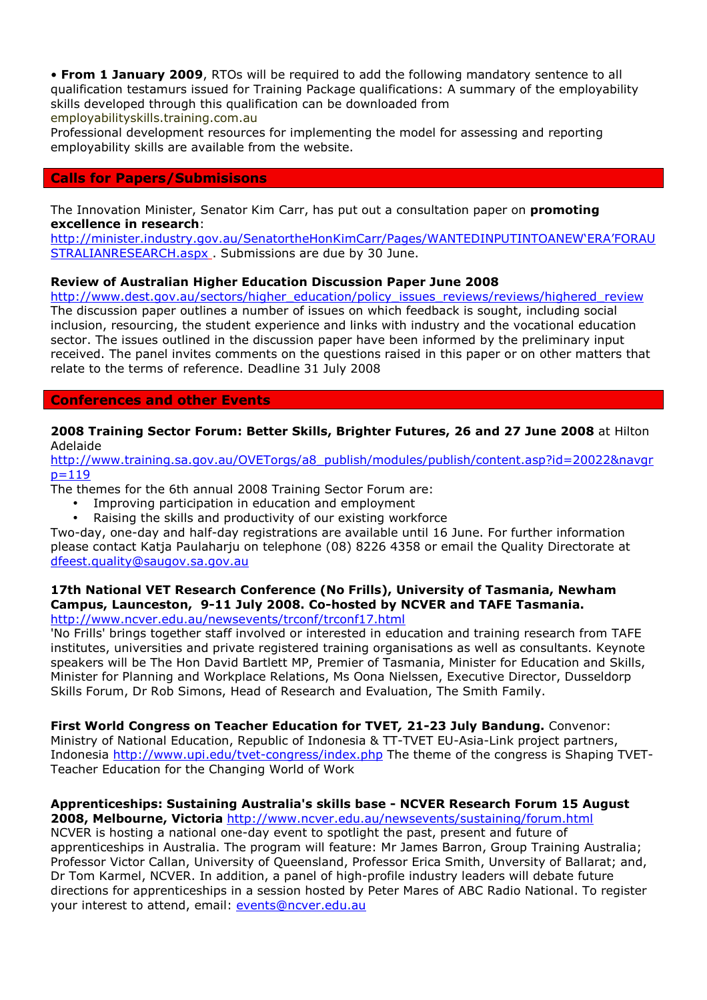• From 1 January 2009, RTOs will be required to add the following mandatory sentence to all qualification testamurs issued for Training Package qualifications: A summary of the employability skills developed through this qualification can be downloaded from employabilityskills.training.com.au

Professional development resources for implementing the model for assessing and reporting employability skills are available from the website.

# Calls for Papers/Submisisons

The Innovation Minister, Senator Kim Carr, has put out a consultation paper on **promoting** excellence in research:

http://minister.industry.gov.au/SenatortheHonKimCarr/Pages/WANTEDINPUTINTOANEW'ERA'FORAU STRALIANRESEARCH.aspx . Submissions are due by 30 June.

# Review of Australian Higher Education Discussion Paper June 2008

http://www.dest.gov.au/sectors/higher\_education/policy\_issues\_reviews/reviews/highered\_review The discussion paper outlines a number of issues on which feedback is sought, including social inclusion, resourcing, the student experience and links with industry and the vocational education sector. The issues outlined in the discussion paper have been informed by the preliminary input received. The panel invites comments on the questions raised in this paper or on other matters that relate to the terms of reference. Deadline 31 July 2008

## Conferences and other Events

## 2008 Training Sector Forum: Better Skills, Brighter Futures, 26 and 27 June 2008 at Hilton Adelaide

http://www.training.sa.gov.au/OVETorgs/a8\_publish/modules/publish/content.asp?id=20022&navgr  $p=119$ 

The themes for the 6th annual 2008 Training Sector Forum are:

- Improving participation in education and employment
- Raising the skills and productivity of our existing workforce

Two-day, one-day and half-day registrations are available until 16 June. For further information please contact Katja Paulaharju on telephone (08) 8226 4358 or email the Quality Directorate at dfeest.quality@saugov.sa.gov.au

#### 17th National VET Research Conference (No Frills), University of Tasmania, Newham Campus, Launceston, 9-11 July 2008. Co-hosted by NCVER and TAFE Tasmania. http://www.ncver.edu.au/newsevents/trconf/trconf17.html

'No Frills' brings together staff involved or interested in education and training research from TAFE institutes, universities and private registered training organisations as well as consultants. Keynote speakers will be The Hon David Bartlett MP, Premier of Tasmania, Minister for Education and Skills, Minister for Planning and Workplace Relations, Ms Oona Nielssen, Executive Director, Dusseldorp Skills Forum, Dr Rob Simons, Head of Research and Evaluation, The Smith Family.

First World Congress on Teacher Education for TVET, 21-23 July Bandung. Convenor: Ministry of National Education, Republic of Indonesia & TT-TVET EU-Asia-Link project partners, Indonesia http://www.upi.edu/tvet-congress/index.php The theme of the congress is Shaping TVET-Teacher Education for the Changing World of Work

# Apprenticeships: Sustaining Australia's skills base - NCVER Research Forum 15 August

2008, Melbourne, Victoria http://www.ncver.edu.au/newsevents/sustaining/forum.html NCVER is hosting a national one-day event to spotlight the past, present and future of apprenticeships in Australia. The program will feature: Mr James Barron, Group Training Australia; Professor Victor Callan, University of Queensland, Professor Erica Smith, Unversity of Ballarat; and, Dr Tom Karmel, NCVER. In addition, a panel of high-profile industry leaders will debate future directions for apprenticeships in a session hosted by Peter Mares of ABC Radio National. To register your interest to attend, email: events@ncver.edu.au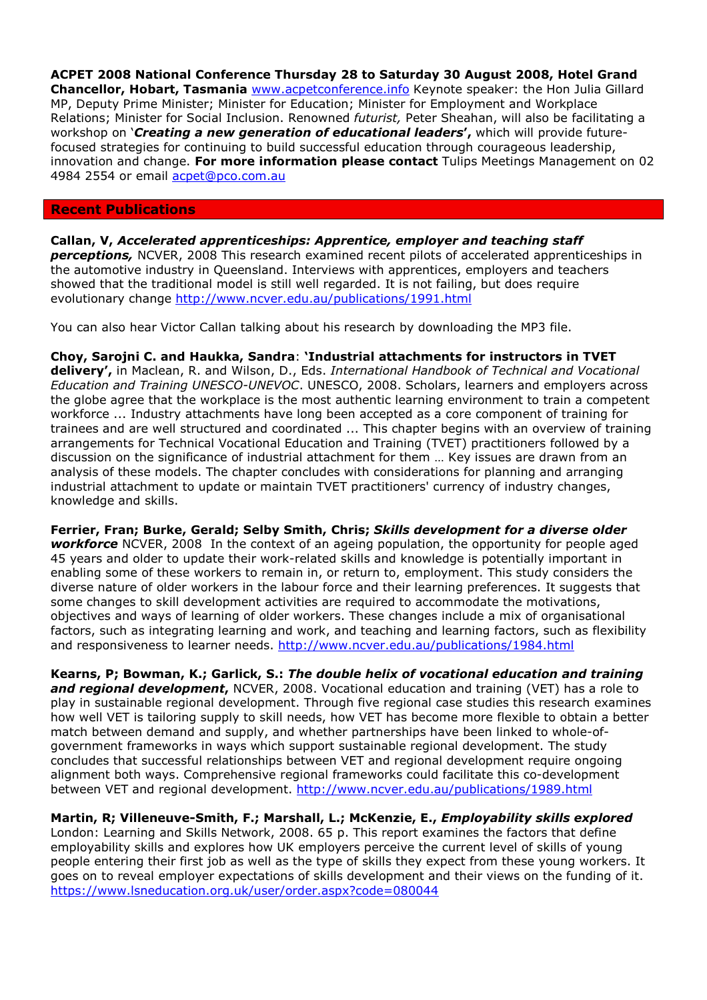ACPET 2008 National Conference Thursday 28 to Saturday 30 August 2008, Hotel Grand Chancellor, Hobart, Tasmania www.acpetconference.info Keynote speaker: the Hon Julia Gillard MP, Deputy Prime Minister; Minister for Education; Minister for Employment and Workplace Relations; Minister for Social Inclusion. Renowned futurist, Peter Sheahan, will also be facilitating a workshop on 'Creating a new generation of educational leaders', which will provide futurefocused strategies for continuing to build successful education through courageous leadership, innovation and change. For more information please contact Tulips Meetings Management on 02 4984 2554 or email acpet@pco.com.au

## Recent Publications

Callan, V, Accelerated apprenticeships: Apprentice, employer and teaching staff **perceptions,** NCVER, 2008 This research examined recent pilots of accelerated apprenticeships in the automotive industry in Queensland. Interviews with apprentices, employers and teachers showed that the traditional model is still well regarded. It is not failing, but does require evolutionary change http://www.ncver.edu.au/publications/1991.html

You can also hear Victor Callan talking about his research by downloading the MP3 file.

Choy, Sarojni C. and Haukka, Sandra: 'Industrial attachments for instructors in TVET delivery', in Maclean, R. and Wilson, D., Eds. International Handbook of Technical and Vocational Education and Training UNESCO-UNEVOC. UNESCO, 2008. Scholars, learners and employers across the globe agree that the workplace is the most authentic learning environment to train a competent workforce ... Industry attachments have long been accepted as a core component of training for trainees and are well structured and coordinated ... This chapter begins with an overview of training arrangements for Technical Vocational Education and Training (TVET) practitioners followed by a discussion on the significance of industrial attachment for them … Key issues are drawn from an analysis of these models. The chapter concludes with considerations for planning and arranging industrial attachment to update or maintain TVET practitioners' currency of industry changes, knowledge and skills.

Ferrier, Fran; Burke, Gerald; Selby Smith, Chris; Skills development for a diverse older workforce NCVER, 2008 In the context of an ageing population, the opportunity for people aged 45 years and older to update their work-related skills and knowledge is potentially important in enabling some of these workers to remain in, or return to, employment. This study considers the diverse nature of older workers in the labour force and their learning preferences. It suggests that some changes to skill development activities are required to accommodate the motivations, objectives and ways of learning of older workers. These changes include a mix of organisational factors, such as integrating learning and work, and teaching and learning factors, such as flexibility and responsiveness to learner needs. http://www.ncver.edu.au/publications/1984.html

Kearns, P; Bowman, K.; Garlick, S.: The double helix of vocational education and training and regional development, NCVER, 2008. Vocational education and training (VET) has a role to play in sustainable regional development. Through five regional case studies this research examines how well VET is tailoring supply to skill needs, how VET has become more flexible to obtain a better match between demand and supply, and whether partnerships have been linked to whole-ofgovernment frameworks in ways which support sustainable regional development. The study concludes that successful relationships between VET and regional development require ongoing alignment both ways. Comprehensive regional frameworks could facilitate this co-development between VET and regional development. http://www.ncver.edu.au/publications/1989.html

Martin, R; Villeneuve-Smith, F.; Marshall, L.; McKenzie, E., Employability skills explored

London: Learning and Skills Network, 2008. 65 p. This report examines the factors that define employability skills and explores how UK employers perceive the current level of skills of young people entering their first job as well as the type of skills they expect from these young workers. It goes on to reveal employer expectations of skills development and their views on the funding of it. https://www.lsneducation.org.uk/user/order.aspx?code=080044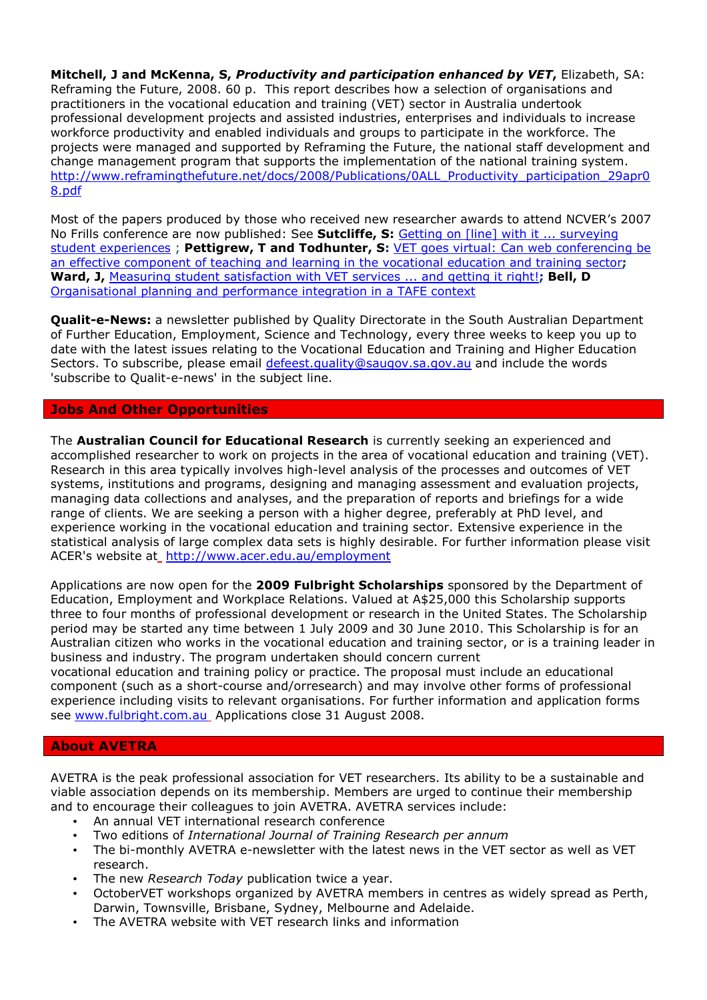Mitchell, J and McKenna, S, Productivity and participation enhanced by VET, Elizabeth, SA: Reframing the Future, 2008. 60 p. This report describes how a selection of organisations and practitioners in the vocational education and training (VET) sector in Australia undertook professional development projects and assisted industries, enterprises and individuals to increase workforce productivity and enabled individuals and groups to participate in the workforce. The projects were managed and supported by Reframing the Future, the national staff development and change management program that supports the implementation of the national training system. http://www.reframingthefuture.net/docs/2008/Publications/0ALL\_Productivity\_participation\_29apr0 8.pdf

Most of the papers produced by those who received new researcher awards to attend NCVER's 2007 No Frills conference are now published: See Sutcliffe, S: Getting on [line] with it ... surveying student experiences ; Pettigrew, T and Todhunter, S: VET goes virtual: Can web conferencing be an effective component of teaching and learning in the vocational education and training sector; Ward, J, Measuring student satisfaction with VET services ... and getting it right!; Bell, D Organisational planning and performance integration in a TAFE context

**Qualit-e-News:** a newsletter published by Quality Directorate in the South Australian Department of Further Education, Employment, Science and Technology, every three weeks to keep you up to date with the latest issues relating to the Vocational Education and Training and Higher Education Sectors. To subscribe, please email defeest.quality@saugov.sa.gov.au and include the words 'subscribe to Qualit-e-news' in the subject line.

## Jobs And Other Opportunities

The **Australian Council for Educational Research** is currently seeking an experienced and accomplished researcher to work on projects in the area of vocational education and training (VET). Research in this area typically involves high-level analysis of the processes and outcomes of VET systems, institutions and programs, designing and managing assessment and evaluation projects, managing data collections and analyses, and the preparation of reports and briefings for a wide range of clients. We are seeking a person with a higher degree, preferably at PhD level, and experience working in the vocational education and training sector. Extensive experience in the statistical analysis of large complex data sets is highly desirable. For further information please visit ACER's website at http://www.acer.edu.au/employment

Applications are now open for the 2009 Fulbright Scholarships sponsored by the Department of Education, Employment and Workplace Relations. Valued at A\$25,000 this Scholarship supports three to four months of professional development or research in the United States. The Scholarship period may be started any time between 1 July 2009 and 30 June 2010. This Scholarship is for an Australian citizen who works in the vocational education and training sector, or is a training leader in business and industry. The program undertaken should concern current

vocational education and training policy or practice. The proposal must include an educational component (such as a short-course and/orresearch) and may involve other forms of professional experience including visits to relevant organisations. For further information and application forms see www.fulbright.com.au Applications close 31 August 2008.

## About AVETRA

AVETRA is the peak professional association for VET researchers. Its ability to be a sustainable and viable association depends on its membership. Members are urged to continue their membership and to encourage their colleagues to join AVETRA. AVETRA services include:

- An annual VET international research conference
- Two editions of International Journal of Training Research per annum
- The bi-monthly AVETRA e-newsletter with the latest news in the VET sector as well as VET research.
- The new Research Today publication twice a year.
- OctoberVET workshops organized by AVETRA members in centres as widely spread as Perth, Darwin, Townsville, Brisbane, Sydney, Melbourne and Adelaide.
- The AVETRA website with VET research links and information